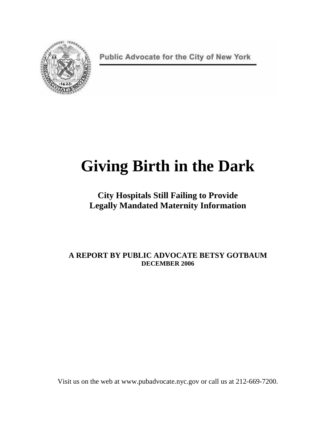

Public Advocate for the City of New York

# **Giving Birth in the Dark**

**City Hospitals Still Failing to Provide Legally Mandated Maternity Information** 

**A REPORT BY PUBLIC ADVOCATE BETSY GOTBAUM DECEMBER 2006**

Visit us on the web at www.pubadvocate.nyc.gov or call us at 212-669-7200.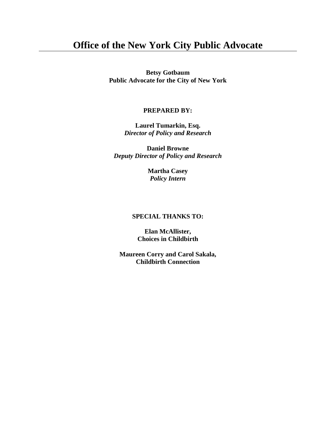# **Office of the New York City Public Advocate**

**Betsy Gotbaum Public Advocate for the City of New York** 

#### **PREPARED BY:**

**Laurel Tumarkin, Esq.**  *Director of Policy and Research* 

**Daniel Browne**  *Deputy Director of Policy and Research* 

> **Martha Casey**  *Policy Intern*

#### **SPECIAL THANKS TO:**

**Elan McAllister, Choices in Childbirth** 

**Maureen Corry and Carol Sakala, Childbirth Connection**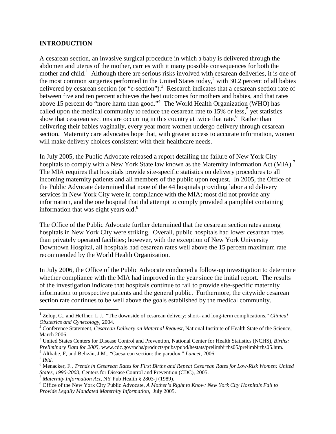#### **INTRODUCTION**

A cesarean section, an invasive surgical procedure in which a baby is delivered through the abdomen and uterus of the mother, carries with it many possible consequences for both the mother and child.<sup>1</sup> Although there are serious risks involved with cesarean deliveries, it is one of the most common surgeries performed in the United States today,<sup>2</sup> with 30.2 percent of all babies delivered by cesarean section (or "c-section").<sup>3</sup> Research indicates that a cesarean section rate of between five and ten percent achieves the best outcomes for mothers and babies, and that rates above 15 percent do "more harm than good."<sup>4</sup> The World Health Organization (WHO) has called upon the medical community to reduce the cesarean rate to  $15\%$  or less,<sup>5</sup> yet statistics show that cesarean sections are occurring in this country at twice that rate.<sup>6</sup> Rather than delivering their babies vaginally, every year more women undergo delivery through cesarean section. Maternity care advocates hope that, with greater access to accurate information, women will make delivery choices consistent with their healthcare needs.

In July 2005, the Public Advocate released a report detailing the failure of New York City hospitals to comply with a New York State law known as the Maternity Information Act (MIA).<sup>7</sup> The MIA requires that hospitals provide site-specific statistics on delivery procedures to all incoming maternity patients and all members of the public upon request. In 2005, the Office of the Public Advocate determined that none of the 44 hospitals providing labor and delivery services in New York City were in compliance with the MIA; most did not provide any information, and the one hospital that did attempt to comply provided a pamphlet containing information that was eight years old. $8$ 

The Office of the Public Advocate further determined that the cesarean section rates among hospitals in New York City were striking. Overall, public hospitals had lower cesarean rates than privately operated facilities; however, with the exception of New York University Downtown Hospital, all hospitals had cesarean rates well above the 15 percent maximum rate recommended by the World Health Organization.

In July 2006, the Office of the Public Advocate conducted a follow-up investigation to determine whether compliance with the MIA had improved in the year since the initial report. The results of the investigation indicate that hospitals continue to fail to provide site-specific maternity information to prospective patients and the general public. Furthermore, the citywide cesarean section rate continues to be well above the goals established by the medical community.

3 United States Centers for Disease Control and Prevention, National Center for Health Statistics (NCHS), *Births: Preliminary Data for 2005*, www.cdc.gov/nchs/products/pubs/pubd/hestats/prelimbirths05/prelimbirths05.htm.

4 Althabe, F, and Belizán, J.M., "Caesarean section: the paradox," *Lancet*, 2006.

5 *Ibid*.

<u>.</u>

<sup>7</sup> *Maternity Information Act*, NY Pub Health § 2803-j (1989).

<sup>&</sup>lt;sup>1</sup> Zelop, C., and Heffner, L.J., "The downside of cesarean delivery: short- and long-term complications," *Clinical Obstetrics and Gynecology*, 2004.

<sup>&</sup>lt;sup>2</sup> Conference Statement, *Cesarean Delivery on Maternal Request*, National Institute of Health State of the Science, March 2006.

<sup>6</sup> Menacker, F., *Trends in Cesarean Rates for First Births and Repeat Cesarean Rates for Low-Risk Women: United States, 1990-2003,* Centers for Disease Control and Prevention (CDC), 2005.

<sup>8</sup> Office of the New York City Public Advocate, *A Mother's Right to Know: New York City Hospitals Fail to Provide Legally Mandated Maternity Information,* July 2005.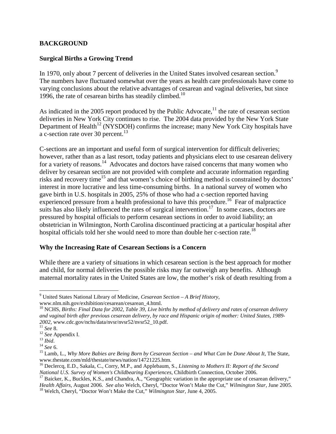#### **BACKGROUND**

#### **Surgical Births a Growing Trend**

In 1970, only about 7 percent of deliveries in the United States involved cesarean section.<sup>9</sup> The numbers have fluctuated somewhat over the years as health care professionals have come to varying conclusions about the relative advantages of cesarean and vaginal deliveries, but since 1996, the rate of cesarean births has steadily climbed.<sup>10</sup>

As indicated in the 2005 report produced by the Public Advocate, $^{11}$  the rate of cesarean section deliveries in New York City continues to rise. The 2004 data provided by the New York State Department of Health<sup>12</sup> (NYSDOH) confirms the increase; many New York City hospitals have a c-section rate over 30 percent.<sup>13</sup>

C-sections are an important and useful form of surgical intervention for difficult deliveries; however, rather than as a last resort, today patients and physicians elect to use cesarean delivery for a variety of reasons.<sup>14</sup> Advocates and doctors have raised concerns that many women who deliver by cesarean section are not provided with complete and accurate information regarding risks and recovery time<sup>15</sup> and that women's choice of birthing method is constrained by doctors' interest in more lucrative and less time-consuming births. In a national survey of women who gave birth in U.S. hospitals in 2005, 25% of those who had a c-section reported having experienced pressure from a health professional to have this procedure.<sup>16</sup> Fear of malpractice suits has also likely influenced the rates of surgical intervention.<sup>17</sup> In some cases, doctors are pressured by hospital officials to perform cesarean sections in order to avoid liability; an obstetrician in Wilmington, North Carolina discontinued practicing at a particular hospital after hospital officials told her she would need to more than double her c-section rate.<sup>18</sup>

#### **Why the Increasing Rate of Cesarean Sections is a Concern**

While there are a variety of situations in which cesarean section is the best approach for mother and child, for normal deliveries the possible risks may far outweigh any benefits. Although maternal mortality rates in the United States are low, the mother's risk of death resulting from a

 $\overline{a}$ 

<sup>9</sup> United States National Library of Medicine, *Cesarean Section – A Brief History*, www.nlm.nih.gov/exhibition/cesarean/cesarean\_4.html.

<sup>&</sup>lt;sup>10</sup> NCHS, *Births: Final Data for 2002, Table 39, Live births by method of delivery and rates of cesarean delivery and vaginal birth after previous cesarean delivery, by race and Hispanic origin of mother: United States, 1989- 2002*, www.cdc.gov/nchs/data/nvsr/nvsr52/nvsr52\_10.pdf.

<sup>11</sup> *See* 8.

<sup>12</sup> *See* Appendix I.

<sup>13</sup> *Ibid*.

<sup>14</sup> *See* 6.

<sup>&</sup>lt;sup>15</sup> Lamb, L., *Why More Babies are Being Born by Cesarean Section – and What Can be Done About It*, The State, www.thestate.com/mld/thestate/news/nation/14721225.htm.

<sup>16</sup> Declercq, E.D., Sakala, C., Corry, M.P., and Applebaum, S., *Listening to Mothers II: Report of the Second National U.S. Survey of Women's Childbearing Experiences*, Childbirth Connection, October 2006.

<sup>&</sup>lt;sup>17</sup> Baicker, K., Buckles, K.S., and Chandra, A., "Geographic variation in the appropriate use of cesarean delivery," *Health Affairs*, August 2006. *See also* Welch, Cheryl, "Doctor Won't Make the Cut," *Wilmington Star*, June 2005. <sup>18</sup> Welch, Cheryl, "Doctor Won't Make the Cut," *Wilmington Star*, June 4, 2005.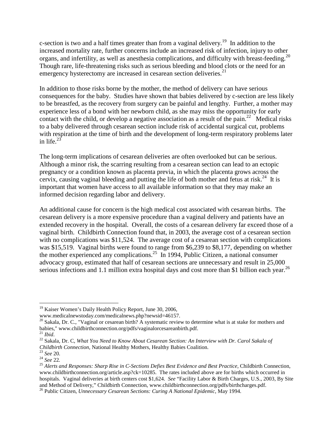c-section is two and a half times greater than from a vaginal delivery.<sup>19</sup> In addition to the increased mortality rate, further concerns include an increased risk of infection, injury to other organs, and infertility, as well as anesthesia complications, and difficulty with breast-feeding.<sup>20</sup> Though rare, life-threatening risks such as serious bleeding and blood clots or the need for an emergency hysterectomy are increased in cesarean section deliveries.<sup>21</sup>

In addition to those risks borne by the mother, the method of delivery can have serious consequences for the baby. Studies have shown that babies delivered by c-section are less likely to be breastfed, as the recovery from surgery can be painful and lengthy. Further, a mother may experience less of a bond with her newborn child, as she may miss the opportunity for early contact with the child, or develop a negative association as a result of the pain.<sup>22</sup> Medical risks to a baby delivered through cesarean section include risk of accidental surgical cut, problems with respiration at the time of birth and the development of long-term respiratory problems later in life. $^{23}$ 

The long-term implications of cesarean deliveries are often overlooked but can be serious. Although a minor risk, the scarring resulting from a cesarean section can lead to an ectopic pregnancy or a condition known as placenta previa, in which the placenta grows across the cervix, causing vaginal bleeding and putting the life of both mother and fetus at risk.<sup>24</sup> It is important that women have access to all available information so that they may make an informed decision regarding labor and delivery.

An additional cause for concern is the high medical cost associated with cesarean births. The cesarean delivery is a more expensive procedure than a vaginal delivery and patients have an extended recovery in the hospital. Overall, the costs of a cesarean delivery far exceed those of a vaginal birth. Childbirth Connection found that, in 2003, the average cost of a cesarean section with no complications was \$11,524. The average cost of a cesarean section with complications was \$15,519. Vaginal births were found to range from \$6,239 to \$8,177, depending on whether the mother experienced any complications.<sup>25</sup> In 1994, Public Citizen, a national consumer advocacy group, estimated that half of cesarean sections are unnecessary and result in 25,000 serious infections and 1.1 million extra hospital days and cost more than \$1 billion each year.<sup>26</sup>

 $\overline{a}$ <sup>19</sup> Kaiser Women's Daily Health Policy Report, June 30, 2006,

www.medicalnewstoday.com/medicalnews.php?newsid=46157.

 $20$  Sakala, Dr. C., "Vaginal or cesarean birth? A systematic review to determine what is at stake for mothers and babies," www.childbirthconnection.org/pdfs/vaginalorcesareanbirth.pdf.

<sup>21</sup> *Ibid*.

<sup>22</sup> Sakala, Dr. C, *What You Need to Know About Cesarean Section: An Interview with Dr. Carol Sakala of Childbirth Connection,* National Healthy Mothers, Healthy Babies Coalition.

<sup>23</sup> *See* 20.

<sup>24</sup> *See* 22*.* 

<sup>&</sup>lt;sup>25</sup> Alerts and Responses: Sharp Rise in C-Sections Defies Best Evidence and Best Practice, Childbirth Connection, www.childbirthconnection.org/article.asp?ck=10285. The rates included above are for births which occurred in hospitals. Vaginal deliveries at birth centers cost \$1,624. *See* "Facility Labor & Birth Charges, U.S., 2003, By Site and Method of Delivery," Childbirth Connection, www.childbirthconnection.org/pdfs/birthcharges.pdf.

<sup>26</sup> Public Citizen, *Unnecessary Cesarean Sections: Curing A National Epidemic*, May 1994.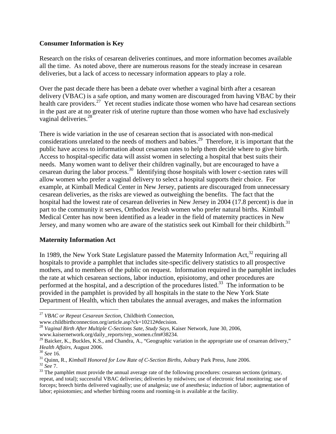#### **Consumer Information is Key**

Research on the risks of cesarean deliveries continues, and more information becomes available all the time. As noted above, there are numerous reasons for the steady increase in cesarean deliveries, but a lack of access to necessary information appears to play a role.

Over the past decade there has been a debate over whether a vaginal birth after a cesarean delivery (VBAC) is a safe option, and many women are discouraged from having VBAC by their health care providers.<sup>27</sup> Yet recent studies indicate those women who have had cesarean sections in the past are at no greater risk of uterine rupture than those women who have had exclusively vaginal deliveries.<sup>28</sup>

There is wide variation in the use of cesarean section that is associated with non-medical considerations unrelated to the needs of mothers and babies.<sup>29</sup> Therefore, it is important that the public have access to information about cesarean rates to help them decide where to give birth. Access to hospital-specific data will assist women in selecting a hospital that best suits their needs. Many women want to deliver their children vaginally, but are encouraged to have a cesarean during the labor process.<sup>30</sup> Identifying those hospitals with lower c-section rates will allow women who prefer a vaginal delivery to select a hospital supports their choice. For example, at Kimball Medical Center in New Jersey, patients are discouraged from unnecessary cesarean deliveries, as the risks are viewed as outweighing the benefits. The fact that the hospital had the lowest rate of cesarean deliveries in New Jersey in 2004 (17.8 percent) is due in part to the community it serves, Orthodox Jewish women who prefer natural births. Kimball Medical Center has now been identified as a leader in the field of maternity practices in New Jersey, and many women who are aware of the statistics seek out Kimball for their childbirth.<sup>31</sup>

# **Maternity Information Act**

In 1989, the New York State Legislature passed the Maternity Information Act, $32$  requiring all hospitals to provide a pamphlet that includes site-specific delivery statistics to all prospective mothers, and to members of the public on request. Information required in the pamphlet includes the rate at which cesarean sections, labor induction, episiotomy, and other procedures are performed at the hospital, and a description of the procedures listed.<sup>33</sup> The information to be provided in the pamphlet is provided by all hospitals in the state to the New York State Department of Health, which then tabulates the annual averages, and makes the information

<sup>&</sup>lt;u>.</u> <sup>27</sup> *VBAC or Repeat Cesarean Section,* Childbirth Connection, www.childbirthconnection.org/article.asp?ck=10212#decision.

<sup>&</sup>lt;sup>28</sup> Vaginal Birth After Multiple C-Sections Sate, Study Says, Kaiser Network, June 30, 2006,

www.kaisernetwork.org/daily\_reports/rep\_women.cfm#38234.

<sup>&</sup>lt;sup>29</sup> Baicker, K., Buckles, K.S., and Chandra, A., "Geographic variation in the appropriate use of cesarean delivery," *Health Affairs*, August 2006.

<sup>30</sup> *See* 16.

<sup>31</sup> Quinn, R., *Kimball Honored for Low Rate of C-Section Births,* Asbury Park Press, June 2006.

<sup>32</sup> *See* 7.

<sup>&</sup>lt;sup>33</sup> The pamphlet must provide the annual average rate of the following procedures: cesarean sections (primary, repeat, and total); successful VBAC deliveries; deliveries by midwives; use of electronic fetal monitoring; use of forceps; breech births delivered vaginally; use of analgesia; use of anesthesia; induction of labor; augmentation of labor; episiotomies; and whether birthing rooms and rooming-in is available at the facility.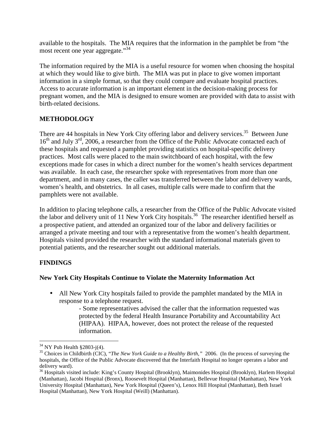available to the hospitals. The MIA requires that the information in the pamphlet be from "the most recent one year aggregate."<sup>34</sup>

The information required by the MIA is a useful resource for women when choosing the hospital at which they would like to give birth. The MIA was put in place to give women important information in a simple format, so that they could compare and evaluate hospital practices. Access to accurate information is an important element in the decision-making process for pregnant women, and the MIA is designed to ensure women are provided with data to assist with birth-related decisions.

# **METHODOLOGY**

There are 44 hospitals in New York City offering labor and delivery services.<sup>35</sup> Between June 16<sup>th</sup> and July 3<sup>rd</sup>, 2006, a researcher from the Office of the Public Advocate contacted each of these hospitals and requested a pamphlet providing statistics on hospital-specific delivery practices. Most calls were placed to the main switchboard of each hospital, with the few exceptions made for cases in which a direct number for the women's health services department was available. In each case, the researcher spoke with representatives from more than one department, and in many cases, the caller was transferred between the labor and delivery wards, women's health, and obstetrics. In all cases, multiple calls were made to confirm that the pamphlets were not available.

In addition to placing telephone calls, a researcher from the Office of the Public Advocate visited the labor and delivery unit of 11 New York City hospitals.<sup>36</sup> The researcher identified herself as a prospective patient, and attended an organized tour of the labor and delivery facilities or arranged a private meeting and tour with a representative from the women's health department. Hospitals visited provided the researcher with the standard informational materials given to potential patients, and the researcher sought out additional materials.

# **FINDINGS**

# **New York City Hospitals Continue to Violate the Maternity Information Act**

• All New York City hospitals failed to provide the pamphlet mandated by the MIA in response to a telephone request.

- Some representatives advised the caller that the information requested was protected by the federal Health Insurance Portability and Accountability Act (HIPAA). HIPAA, however, does not protect the release of the requested information.

 $\overline{a}$  $34$  NY Pub Health §2803-j(4).

<sup>35</sup> Choices in Childbirth (CIC), "*The New York Guide to a Healthy Birth,"* 2006. (In the process of surveying the hospitals, the Office of the Public Advocate discovered that the Interfaith Hospital no longer operates a labor and delivery ward).

<sup>&</sup>lt;sup>36</sup> Hospitals visited include: King's County Hospital (Brooklyn), Maimonides Hospital (Brooklyn), Harlem Hospital (Manhattan), Jacobi Hospital (Bronx), Roosevelt Hospital (Manhattan), Bellevue Hospital (Manhattan), New York University Hospital (Manhattan), New York Hospital (Queen's), Lenox Hill Hospital (Manhattan), Beth Israel Hospital (Manhattan), New York Hospital (Weill) (Manhattan).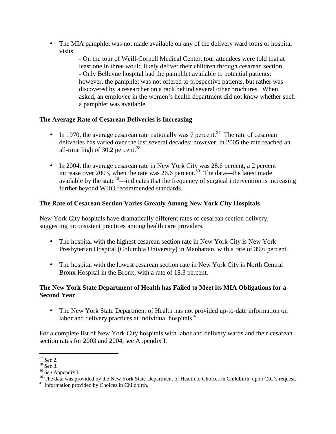• The MIA pamphlet was not made available on any of the delivery ward tours or hospital visits.

- On the tour of Weill-Cornell Medical Center, tour attendees were told that at least one in three would likely deliver their children through cesarean section. - Only Bellevue hospital had the pamphlet available to potential patients; however, the pamphlet was not offered to prospective patients, but rather was discovered by a researcher on a rack behind several other brochures. When asked, an employee in the women's health department did not know whether such a pamphlet was available.

# **The Average Rate of Cesarean Deliveries is Increasing**

- In 1970, the average cesarean rate nationally was 7 percent.<sup>37</sup> The rate of cesarean deliveries has varied over the last several decades; however, in 2005 the rate reached an all-time high of  $30.2$  percent.<sup>38</sup>
- In 2004, the average cesarean rate in New York City was 28.6 percent, a 2 percent increase over 2003, when the rate was 26.6 percent.<sup>39</sup> The data—the latest made available by the state<sup>40</sup>—indicates that the frequency of surgical intervention is increasing further beyond WHO recommended standards.

# **The Rate of Cesarean Section Varies Greatly Among New York City Hospitals**

New York City hospitals have dramatically different rates of cesarean section delivery, suggesting inconsistent practices among health care providers.

- The hospital with the highest cesarean section rate in New York City is New York Presbyterian Hospital (Columbia University) in Manhattan, with a rate of 39.6 percent.
- The hospital with the lowest cesarean section rate in New York City is North Central Bronx Hospital in the Bronx, with a rate of 18.3 percent.

# **The New York State Department of Health has Failed to Meet its MIA Obligations for a Second Year**

• The New York State Department of Health has not provided up-to-date information on labor and delivery practices at individual hospitals.<sup>41</sup>

For a complete list of New York City hospitals with labor and delivery wards and their cesarean section rates for 2003 and 2004, see Appendix I.

<sup>-</sup><sup>37</sup> *See* 2.

<sup>38</sup> *See* 3.

<sup>39</sup> *See* Appendix I.

<sup>&</sup>lt;sup>40</sup> The data was provided by the New York State Department of Health to Choices in Childbirth, upon CIC's request.

<sup>&</sup>lt;sup>41</sup> Information provided by Choices in Childbirth.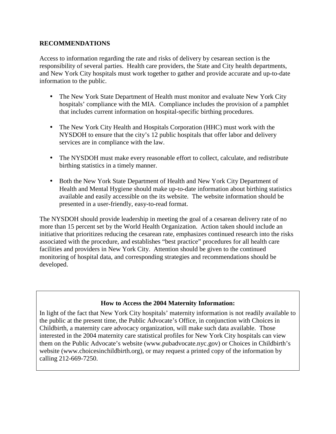#### **RECOMMENDATIONS**

Access to information regarding the rate and risks of delivery by cesarean section is the responsibility of several parties. Health care providers, the State and City health departments, and New York City hospitals must work together to gather and provide accurate and up-to-date information to the public.

- The New York State Department of Health must monitor and evaluate New York City hospitals' compliance with the MIA. Compliance includes the provision of a pamphlet that includes current information on hospital-specific birthing procedures.
- The New York City Health and Hospitals Corporation (HHC) must work with the NYSDOH to ensure that the city's 12 public hospitals that offer labor and delivery services are in compliance with the law.
- The NYSDOH must make every reasonable effort to collect, calculate, and redistribute birthing statistics in a timely manner.
- Both the New York State Department of Health and New York City Department of Health and Mental Hygiene should make up-to-date information about birthing statistics available and easily accessible on the its website. The website information should be presented in a user-friendly, easy-to-read format.

The NYSDOH should provide leadership in meeting the goal of a cesarean delivery rate of no more than 15 percent set by the World Health Organization. Action taken should include an initiative that prioritizes reducing the cesarean rate, emphasizes continued research into the risks associated with the procedure, and establishes "best practice" procedures for all health care facilities and providers in New York City. Attention should be given to the continued monitoring of hospital data, and corresponding strategies and recommendations should be developed.

# **How to Access the 2004 Maternity Information:**

In light of the fact that New York City hospitals' maternity information is not readily available to the public at the present time, the Public Advocate's Office, in conjunction with Choices in Childbirth, a maternity care advocacy organization, will make such data available. Those interested in the 2004 maternity care statistical profiles for New York City hospitals can view them on the Public Advocate's website (www.pubadvocate.nyc.gov) or Choices in Childbirth's website (www.choicesinchildbirth.org), or may request a printed copy of the information by calling 212-669-7250.